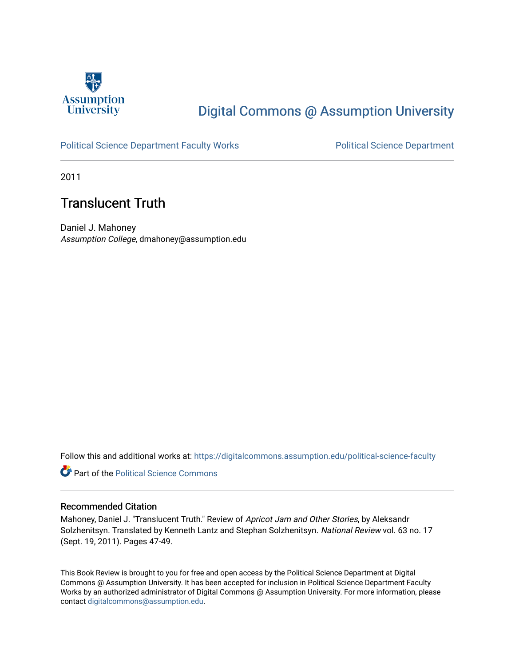

## [Digital Commons @ Assumption University](https://digitalcommons.assumption.edu/)

### [Political Science Department Faculty Works](https://digitalcommons.assumption.edu/political-science-faculty) **Political Science Department**

2011

### Translucent Truth

Daniel J. Mahoney Assumption College, dmahoney@assumption.edu

Follow this and additional works at: [https://digitalcommons.assumption.edu/political-science-faculty](https://digitalcommons.assumption.edu/political-science-faculty?utm_source=digitalcommons.assumption.edu%2Fpolitical-science-faculty%2F4&utm_medium=PDF&utm_campaign=PDFCoverPages)

**Part of the Political Science Commons** 

#### Recommended Citation

Mahoney, Daniel J. "Translucent Truth." Review of Apricot Jam and Other Stories, by Aleksandr Solzhenitsyn. Translated by Kenneth Lantz and Stephan Solzhenitsyn. National Review vol. 63 no. 17 (Sept. 19, 2011). Pages 47-49.

This Book Review is brought to you for free and open access by the Political Science Department at Digital Commons @ Assumption University. It has been accepted for inclusion in Political Science Department Faculty Works by an authorized administrator of Digital Commons @ Assumption University. For more information, please contact [digitalcommons@assumption.edu.](mailto:digitalcommons@assumption.edu)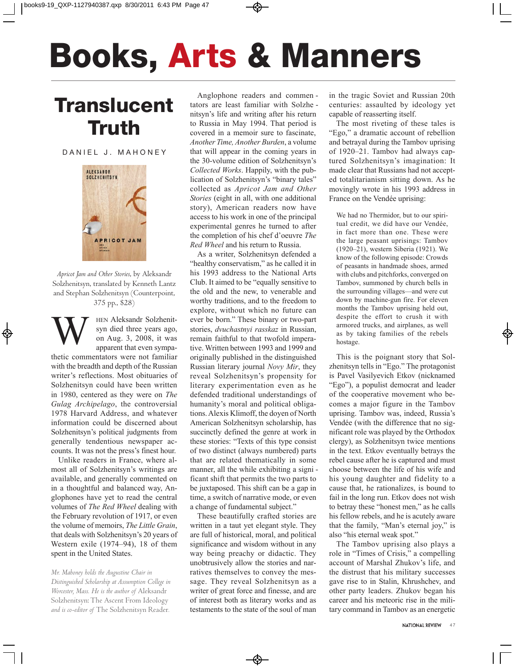# **Books, Arts & Manners**

## **Translucent Truth**

DANIEL J. MAHONEY



*Apricot Jam and Other Stories*, by Aleksandr Solzhenitsyn, translated by Kenneth Lantz and Stephan Solzhenitsyn (Counterpoint, 375 pp., \$28)

HEN Aleksandr Solzhenitsyn died three years ago, on Aug. 3, 2008, it was apparent that even sympa-

thetic commentators were not familiar with the breadth and depth of the Russian writer's reflections. Most obituaries of Solzhenitsyn could have been written in 1980, centered as they were on *The Gulag Archipelago*, the controversial 1978 harvard Address, and whatever information could be discerned about Solzhenitsyn's political judgments from generally tendentious newspaper accounts. It was not the press's finest hour.

Unlike readers in France, where almost all of Solzhenitsyn's writings are available, and generally commented on in a thoughtful and balanced way, Anglophones have yet to read the central volumes of *The Red Wheel* dealing with the February revolution of 1917, or even the volume of memoirs, *The Little Grain*, that deals with Solzhenitsyn's 20 years of Western exile (1974–94), 18 of them spent in the United States.

*Mr. Mahoney holds the Augustine Chair in Distinguished Scholarship at Assumption College in Worcester, Mass. He is the author of* Aleksandr Solzhenitsyn: The Ascent From Ideology *and is co-editor of* The Solzhenitsyn Reader*.* 

Anglophone readers and commen tators are least familiar with Solzhenitsyn's life and writing after his return to Russia in May 1994. That period is covered in a memoir sure to fascinate, *Another Time, Another Burden*, a volume that will appear in the coming years in the 30-volume edition of Solzhenitsyn's *Collected Works*. Happily, with the publication of Solzhenitsyn's "binary tales" collected as *Apricot Jam and Other Stories* (eight in all, with one additional story), American readers now have access to his work in one of the principal experimental genres he turned to after the completion of his chef d'oeuvre *The Red Wheel* and his return to Russia.

As a writer, Solzhenitsyn defended a "healthy conservatism," as he called it in his 1993 address to the National Arts Club. It aimed to be "equally sensitive to the old and the new, to venerable and worthy traditions, and to the freedom to explore, without which no future can ever be born." These binary or two-part stories, *dvuchastnyi rasskaz* in Russian, remain faithful to that twofold imperative. Written between 1993 and 1999 and originally published in the distinguished Russian literary journal *Novy Mir*, they reveal Solzhenitsyn's propensity for literary experimentation even as he defended traditional understandings of humanity's moral and political obligations. Alexis Klimoff, the doyen of North American Solzhenitsyn scholarship, has succinctly defined the genre at work in these stories: "Texts of this type consist of two distinct (always numbered) parts that are related thematically in some manner, all the while exhibiting a signi ficant shift that permits the two parts to be juxtaposed. This shift can be a gap in time, a switch of narrative mode, or even a change of fundamental subject."

These beautifully crafted stories are written in a taut yet elegant style. They are full of historical, moral, and political significance and wisdom without in any way being preachy or didactic. They unobtrusively allow the stories and narratives themselves to convey the message. They reveal Solzhenitsyn as a writer of great force and finesse, and are of interest both as literary works and as testaments to the state of the soul of man

in the tragic Soviet and Russian 20th centuries: assaulted by ideology yet capable of reasserting itself.

The most riveting of these tales is "Ego," a dramatic account of rebellion and betrayal during the Tambov uprising of 1920–21. Tambov had always captured Solzhenitsyn's imagination: It made clear that Russians had not accepted totalitarianism sitting down. As he movingly wrote in his 1993 address in France on the Vendée uprising:

We had no Thermidor, but to our spiritual credit, we did have our Vendée, in fact more than one. These were the large peasant uprisings: Tambov (1920–21), western Siberia (1921). We know of the following episode: Crowds of peasants in handmade shoes, armed with clubs and pitchforks, converged on Tambov, summoned by church bells in the surrounding villages—and were cut down by machine-gun fire. For eleven months the Tambov uprising held out, despite the effort to crush it with armored trucks, and airplanes, as well as by taking families of the rebels hostage.

This is the poignant story that Solzhenitsyn tells in "Ego." The protagonist is Pavel Vasilyevich Etkov (nicknamed "Ego"), a populist democrat and leader of the cooperative movement who be comes a major figure in the Tambov uprising. Tambov was, indeed, Russia's Vendée (with the difference that no significant role was played by the Orthodox clergy), as Solzhenitsyn twice mentions in the text. Etkov eventually betrays the rebel cause after he is captured and must choose between the life of his wife and his young daughter and fidelity to a cause that, he rationalizes, is bound to fail in the long run. Etkov does not wish to betray these "honest men," as he calls his fellow rebels, and he is acutely aware that the family, "Man's eternal joy," is also "his eternal weak spot."

The Tambov uprising also plays a role in "Times of Crisis," a compelling account of Marshal Zhukov's life, and the distrust that his military successes gave rise to in Stalin, Khrushchev, and other party leaders. Zhukov began his career and his meteoric rise in the military command in Tambov as an energetic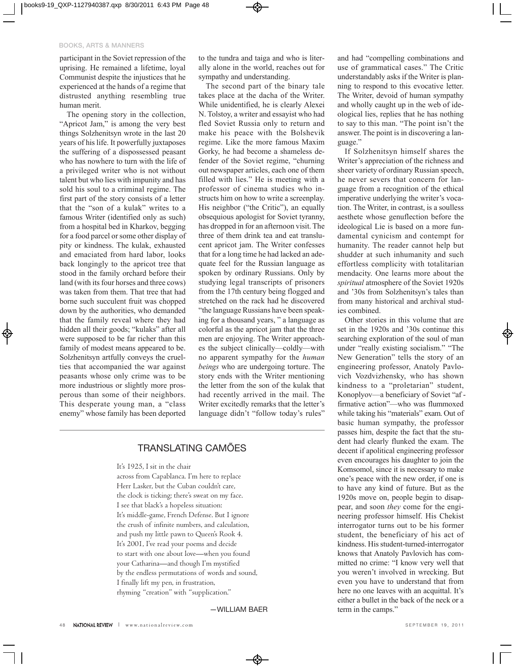participant in the Soviet repression of the uprising. He remained a lifetime, loyal Communist despite the injustices that he experienced at the hands of a regime that distrusted anything resembling true human merit.

The opening story in the collection, "Apricot Jam," is among the very best things Solzhenitsyn wrote in the last 20 years of his life. It powerfully juxtaposes the suffering of a dispossessed peasant who has nowhere to turn with the life of a privileged writer who is not without talent but who lies with impunity and has sold his soul to a criminal regime. The first part of the story consists of a letter that the "son of a kulak" writes to a famous Writer (identified only as such) from a hospital bed in Kharkov, begging for a food parcel or some other display of pity or kindness. The kulak, exhausted and emaciated from hard labor, looks back longingly to the apricot tree that stood in the family orchard before their land (with its four horses and three cows) was taken from them. That tree that had borne such succulent fruit was chopped down by the authorities, who demanded that the family reveal where they had hidden all their goods; "kulaks" after all were supposed to be far richer than this family of modest means appeared to be. Solzhenitsyn artfully conveys the cruelties that accompanied the war against peasants whose only crime was to be more industrious or slightly more prosperous than some of their neighbors. This desperate young man, a "class enemy" whose family has been deported

to the tundra and taiga and who is literally alone in the world, reaches out for sympathy and understanding.

The second part of the binary tale takes place at the dacha of the Writer. While unidentified, he is clearly Alexei N. Tolstoy, a writer and essayist who had fled Soviet Russia only to return and make his peace with the Bolshevik regime. Like the more famous Maxim Gorky, he had become a shameless defender of the Soviet regime, "churning out newspaper articles, each one of them filled with lies." He is meeting with a professor of cinema studies who instructs him on how to write a screenplay. His neighbor ("the Critic"), an equally obsequious apologist for Soviet tyranny, has dropped in for an afternoon visit. The three of them drink tea and eat translucent apricot jam. The Writer confesses that for a long time he had lacked an adequate feel for the Russian language as spoken by ordinary Russians. Only by studying legal transcripts of prisoners from the 17th century being flogged and stretched on the rack had he discovered "the language Russians have been speaking for a thousand years, " a language as colorful as the apricot jam that the three men are enjoying. The Writer approaches the subject clinically—coldly—with no apparent sympathy for the *human beings* who are undergoing torture. The story ends with the Writer mentioning the letter from the son of the kulak that had recently arrived in the mail. The Writer excitedly remarks that the letter's language didn't "follow today's rules"

### TRANSLATING CAMÕES

It's 1925, I sit in the chair

across from Capablanca. I'm here to replace Herr Lasker, but the Cuban couldn't care, the clock is ticking; there's sweat on my face. I see that black's a hopeless situation: It's middle-game, French Defense. But I ignore the crush of infinite numbers, and calculation, and push my little pawn to Queen's Rook 4. It's 2001, I've read your poems and decide to start with one about love—when you found your Catharina—and though I'm mystified by the endless permutations of words and sound, I finally lift my pen, in frustration, rhyming "creation" with "supplication."

—WILLIAM BAER

and had "compelling combinations and use of grammatical cases." The Critic understandably asks if the Writer is planning to respond to this evocative letter. The Writer, devoid of human sympathy and wholly caught up in the web of ideological lies, replies that he has nothing to say to this man. "The point isn't the answer. The point is in discovering a language."

If Solzhenitsyn himself shares the Writer's appreciation of the richness and sheer variety of ordinary Russian speech, he never severs that concern for language from a recognition of the ethical imperative underlying the writer's vocation. The Writer, in contrast, is a soulless aesthete whose genuflection before the ideological Lie is based on a more fundamental cynicism and contempt for humanity. The reader cannot help but shudder at such inhumanity and such effortless complicity with totalitarian mendacity. One learns more about the *spiritual* atmosphere of the Soviet 1920s and '30s from Solzhenitsyn's tales than from many historical and archival studies combined.

Other stories in this volume that are set in the 1920s and '30s continue this searching exploration of the soul of man under "really existing socialism." "The New Generation" tells the story of an engineering professor, Anatoly Pavlovich Vozdvizhensky, who has shown kindness to a "proletarian" student, Konoplyov—a beneficiary of Soviet "af firmative action"—who was flummoxed while taking his "materials" exam. Out of basic human sympathy, the professor passes him, despite the fact that the student had clearly flunked the exam. The decent if apolitical engineering professor even encourages his daughter to join the Komsomol, since it is necessary to make one's peace with the new order, if one is to have any kind of future. But as the 1920s move on, people begin to disappear, and soon *they* come for the engineering professor himself. His Chekist interrogator turns out to be his former student, the beneficiary of his act of kindness. His student-turned-interrogator knows that Anatoly Pavlovich has committed no crime: "I know very well that you weren't involved in wrecking. But even you have to understand that from here no one leaves with an acquittal. It's either a bullet in the back of the neck or a term in the camps."